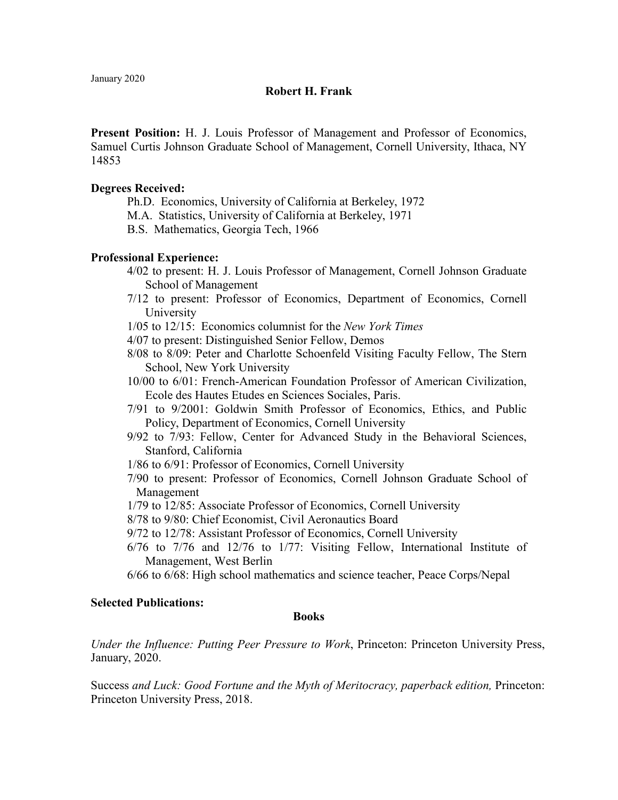# **Robert H. Frank**

**Present Position:** H. J. Louis Professor of Management and Professor of Economics, Samuel Curtis Johnson Graduate School of Management, Cornell University, Ithaca, NY 14853

## **Degrees Received:**

Ph.D. Economics, University of California at Berkeley, 1972

M.A. Statistics, University of California at Berkeley, 1971

B.S. Mathematics, Georgia Tech, 1966

# **Professional Experience:**

- 4/02 to present: H. J. Louis Professor of Management, Cornell Johnson Graduate School of Management
- 7/12 to present: Professor of Economics, Department of Economics, Cornell University

1/05 to 12/15: Economics columnist for the *New York Times*

4/07 to present: Distinguished Senior Fellow, Demos

- 8/08 to 8/09: Peter and Charlotte Schoenfeld Visiting Faculty Fellow, The Stern School, New York University
- 10/00 to 6/01: French-American Foundation Professor of American Civilization, Ecole des Hautes Etudes en Sciences Sociales, Paris.
- 7/91 to 9/2001: Goldwin Smith Professor of Economics, Ethics, and Public Policy, Department of Economics, Cornell University
- 9/92 to 7/93: Fellow, Center for Advanced Study in the Behavioral Sciences, Stanford, California
- 1/86 to 6/91: Professor of Economics, Cornell University
- 7/90 to present: Professor of Economics, Cornell Johnson Graduate School of Management
- 1/79 to 12/85: Associate Professor of Economics, Cornell University
- 8/78 to 9/80: Chief Economist, Civil Aeronautics Board
- 9/72 to 12/78: Assistant Professor of Economics, Cornell University
- 6/76 to 7/76 and 12/76 to 1/77: Visiting Fellow, International Institute of Management, West Berlin
- 6/66 to 6/68: High school mathematics and science teacher, Peace Corps/Nepal

### **Selected Publications:**

### **Books**

*Under the Influence: Putting Peer Pressure to Work*, Princeton: Princeton University Press, January, 2020.

Success *and Luck: Good Fortune and the Myth of Meritocracy, paperback edition,* Princeton: Princeton University Press, 2018.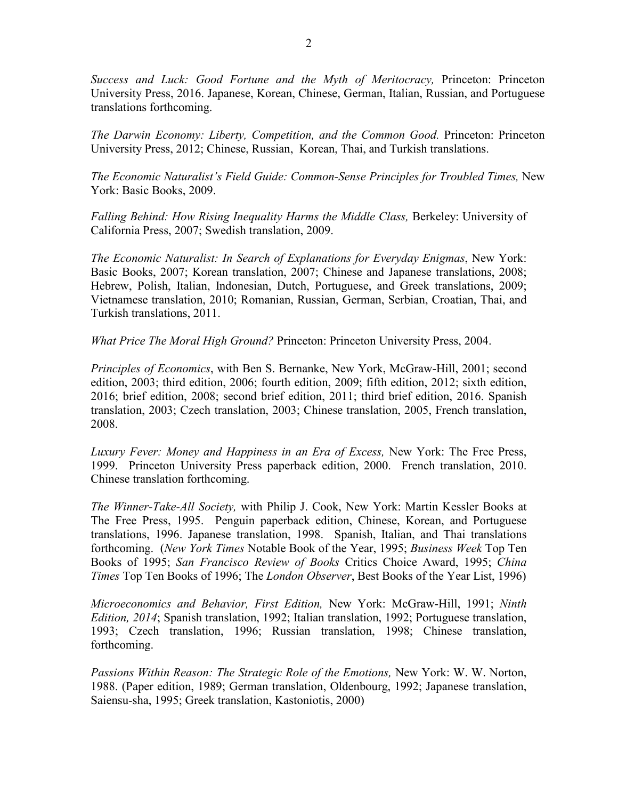*Success and Luck: Good Fortune and the Myth of Meritocracy,* Princeton: Princeton University Press, 2016. Japanese, Korean, Chinese, German, Italian, Russian, and Portuguese translations forthcoming.

*The Darwin Economy: Liberty, Competition, and the Common Good. Princeton: Princeton* University Press, 2012; Chinese, Russian, Korean, Thai, and Turkish translations.

*The Economic Naturalist's Field Guide: Common-Sense Principles for Troubled Times,* New York: Basic Books, 2009.

Falling Behind: How Rising Inequality Harms the Middle Class, Berkeley: University of California Press, 2007; Swedish translation, 2009.

*The Economic Naturalist: In Search of Explanations for Everyday Enigmas*, New York: Basic Books, 2007; Korean translation, 2007; Chinese and Japanese translations, 2008; Hebrew, Polish, Italian, Indonesian, Dutch, Portuguese, and Greek translations, 2009; Vietnamese translation, 2010; Romanian, Russian, German, Serbian, Croatian, Thai, and Turkish translations, 2011.

*What Price The Moral High Ground?* Princeton: Princeton University Press, 2004.

*Principles of Economics*, with Ben S. Bernanke, New York, McGraw-Hill, 2001; second edition, 2003; third edition, 2006; fourth edition, 2009; fifth edition, 2012; sixth edition, 2016; brief edition, 2008; second brief edition, 2011; third brief edition, 2016. Spanish translation, 2003; Czech translation, 2003; Chinese translation, 2005, French translation, 2008.

*Luxury Fever: Money and Happiness in an Era of Excess,* New York: The Free Press, 1999. Princeton University Press paperback edition, 2000. French translation, 2010. Chinese translation forthcoming.

*The Winner-Take-All Society,* with Philip J. Cook, New York: Martin Kessler Books at The Free Press, 1995. Penguin paperback edition, Chinese, Korean, and Portuguese translations, 1996. Japanese translation, 1998. Spanish, Italian, and Thai translations forthcoming. (*New York Times* Notable Book of the Year, 1995; *Business Week* Top Ten Books of 1995; *San Francisco Review of Books* Critics Choice Award, 1995; *China Times* Top Ten Books of 1996; The *London Observer*, Best Books of the Year List, 1996)

*Microeconomics and Behavior, First Edition,* New York: McGraw-Hill, 1991; *Ninth Edition, 2014*; Spanish translation, 1992; Italian translation, 1992; Portuguese translation, 1993; Czech translation, 1996; Russian translation, 1998; Chinese translation, forthcoming.

*Passions Within Reason: The Strategic Role of the Emotions,* New York: W. W. Norton, 1988. (Paper edition, 1989; German translation, Oldenbourg, 1992; Japanese translation, Saiensu-sha, 1995; Greek translation, Kastoniotis, 2000)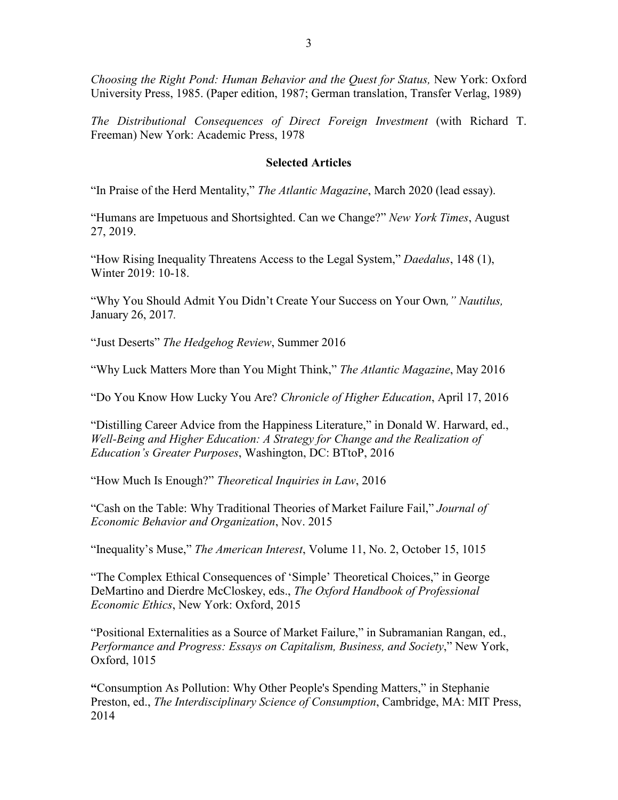*Choosing the Right Pond: Human Behavior and the Quest for Status,* New York: Oxford University Press, 1985. (Paper edition, 1987; German translation, Transfer Verlag, 1989)

*The Distributional Consequences of Direct Foreign Investment* (with Richard T. Freeman) New York: Academic Press, 1978

## **Selected Articles**

"In Praise of the Herd Mentality," *The Atlantic Magazine*, March 2020 (lead essay).

"Humans are Impetuous and Shortsighted. Can we Change?" *New York Times*, August 27, 2019.

"How Rising Inequality Threatens Access to the Legal System," *Daedalus*, 148 (1), Winter 2019: 10-18.

"Why You Should Admit You Didn't Create Your Success on Your Own*," Nautilus,*  January 26, 2017*.* 

"Just Deserts" *The Hedgehog Review*, Summer 2016

"Why Luck Matters More than You Might Think," *The Atlantic Magazine*, May 2016

"Do You Know How Lucky You Are? *Chronicle of Higher Education*, April 17, 2016

"Distilling Career Advice from the Happiness Literature," in Donald W. Harward, ed., *Well-Being and Higher Education: A Strategy for Change and the Realization of Education's Greater Purposes*, Washington, DC: BTtoP, 2016

"How Much Is Enough?" *Theoretical Inquiries in Law*, 2016

"Cash on the Table: Why Traditional Theories of Market Failure Fail," *Journal of Economic Behavior and Organization*, Nov. 2015

"Inequality's Muse," *The American Interest*, Volume 11, No. 2, October 15, 1015

"The Complex Ethical Consequences of 'Simple' Theoretical Choices," in George DeMartino and Dierdre McCloskey, eds., *The Oxford Handbook of Professional Economic Ethics*, New York: Oxford, 2015

"Positional Externalities as a Source of Market Failure," in Subramanian Rangan, ed., *Performance and Progress: Essays on Capitalism, Business, and Society*," New York, Oxford, 1015

**"**Consumption As Pollution: Why Other People's Spending Matters," in Stephanie Preston, ed., *The Interdisciplinary Science of Consumption*, Cambridge, MA: MIT Press, 2014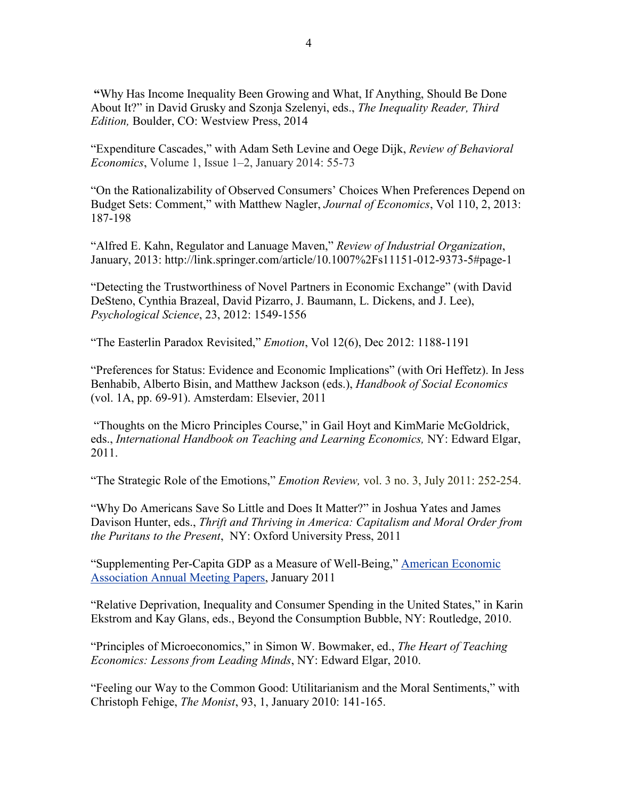**"**Why Has Income Inequality Been Growing and What, If Anything, Should Be Done About It?" in David Grusky and Szonja Szelenyi, eds., *The Inequality Reader, Third Edition,* Boulder, CO: Westview Press, 2014

"Expenditure Cascades," with Adam Seth Levine and Oege Dijk, *Review of Behavioral Economics*, Volume 1, Issue 1–2, January 2014: 55-73

"On the Rationalizability of Observed Consumers' Choices When Preferences Depend on Budget Sets: Comment," with Matthew Nagler, *Journal of Economics*, Vol 110, 2, 2013: 187-198

"Alfred E. Kahn, Regulator and Lanuage Maven," *Review of Industrial Organization*, January, 2013: http://link.springer.com/article/10.1007%2Fs11151-012-9373-5#page-1

"Detecting the Trustworthiness of Novel Partners in Economic Exchange" (with David DeSteno, Cynthia Brazeal, David Pizarro, J. Baumann, L. Dickens, and J. Lee), *Psychological Science*, 23, 2012: 1549-1556

"The Easterlin Paradox Revisited," *Emotion*, Vol 12(6), Dec 2012: 1188-1191

"Preferences for Status: Evidence and Economic Implications" (with Ori Heffetz). In Jess Benhabib, Alberto Bisin, and Matthew Jackson (eds.), *Handbook of Social Economics* (vol. 1A, pp. 69-91). Amsterdam: Elsevier, 2011

 "Thoughts on the Micro Principles Course," in Gail Hoyt and KimMarie McGoldrick, eds., *International Handbook on Teaching and Learning Economics,* NY: Edward Elgar, 2011.

"The Strategic Role of the Emotions," *Emotion Review,* vol. 3 no. 3, July 2011: 252-254.

"Why Do Americans Save So Little and Does It Matter?" in Joshua Yates and James Davison Hunter, eds., *Thrift and Thriving in America: Capitalism and Moral Order from the Puritans to the Present*, NY: Oxford University Press, 2011

"Supplementing Per-Capita GDP as a Measure of Well-Being," [American Economic](https://www.aeaweb.org/conference/past-annual-meetings)  [Association Annual Meeting Papers,](https://www.aeaweb.org/conference/past-annual-meetings) January 2011

"Relative Deprivation, Inequality and Consumer Spending in the United States," in Karin Ekstrom and Kay Glans, eds., Beyond the Consumption Bubble, NY: Routledge, 2010.

"Principles of Microeconomics," in Simon W. Bowmaker, ed., *The Heart of Teaching Economics: Lessons from Leading Minds*, NY: Edward Elgar, 2010.

"Feeling our Way to the Common Good: Utilitarianism and the Moral Sentiments," with Christoph Fehige, *The Monist*, 93, 1, January 2010: 141-165.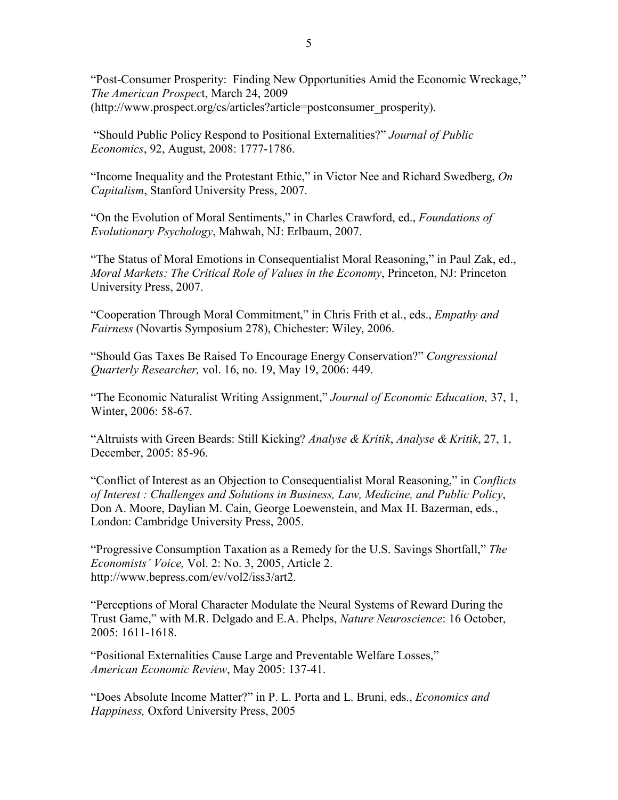"Post-Consumer Prosperity: Finding New Opportunities Amid the Economic Wreckage," *The American Prospec*t, March 24, 2009 (http://www.prospect.org/cs/articles?article=postconsumer\_prosperity).

 "Should Public Policy Respond to Positional Externalities?" *Journal of Public Economics*, 92, August, 2008: 1777-1786.

"Income Inequality and the Protestant Ethic," in Victor Nee and Richard Swedberg, *On Capitalism*, Stanford University Press, 2007.

"On the Evolution of Moral Sentiments," in Charles Crawford, ed., *Foundations of Evolutionary Psychology*, Mahwah, NJ: Erlbaum, 2007.

"The Status of Moral Emotions in Consequentialist Moral Reasoning," in Paul Zak, ed., *Moral Markets: The Critical Role of Values in the Economy*, Princeton, NJ: Princeton University Press, 2007.

"Cooperation Through Moral Commitment," in Chris Frith et al., eds., *Empathy and Fairness* (Novartis Symposium 278), Chichester: Wiley, 2006.

"Should Gas Taxes Be Raised To Encourage Energy Conservation?" *Congressional Quarterly Researcher,* vol. 16, no. 19, May 19, 2006: 449.

"The Economic Naturalist Writing Assignment," *Journal of Economic Education,* 37, 1, Winter, 2006: 58-67.

"Altruists with Green Beards: Still Kicking? *Analyse & Kritik*, *Analyse & Kritik*, 27, 1, December, 2005: 85-96.

"Conflict of Interest as an Objection to Consequentialist Moral Reasoning," in *Conflicts of Interest : Challenges and Solutions in Business, Law, Medicine, and Public Policy*, Don A. Moore, Daylian M. Cain, George Loewenstein, and Max H. Bazerman, eds., London: Cambridge University Press, 2005.

"Progressive Consumption Taxation as a Remedy for the U.S. Savings Shortfall," *The Economists' Voice,* Vol. 2: No. 3, 2005, Article 2. http://www.bepress.com/ev/vol2/iss3/art2.

"Perceptions of Moral Character Modulate the Neural Systems of Reward During the Trust Game," with M.R. Delgado and E.A. Phelps, *Nature Neuroscience*: 16 October, 2005: 1611-1618.

"Positional Externalities Cause Large and Preventable Welfare Losses," *American Economic Review*, May 2005: 137-41.

"Does Absolute Income Matter?" in P. L. Porta and L. Bruni, eds., *Economics and Happiness,* Oxford University Press, 2005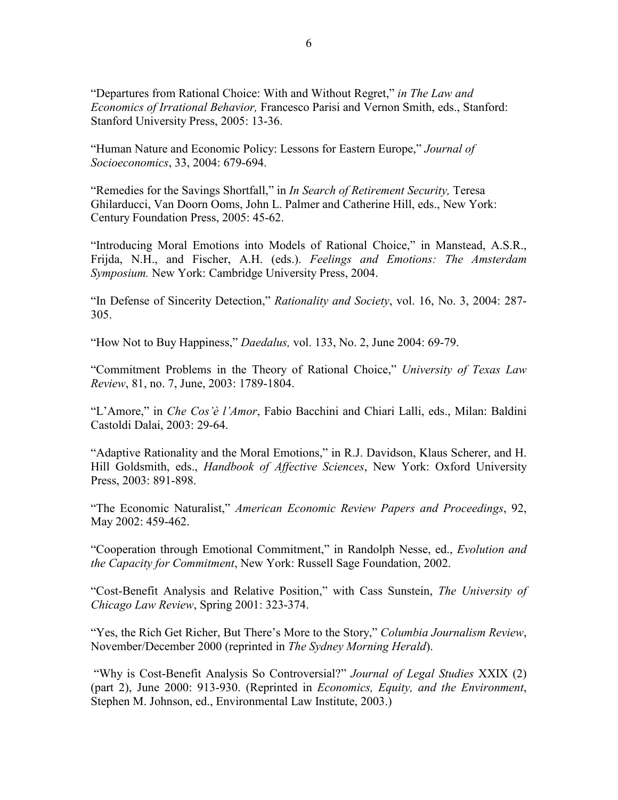"Departures from Rational Choice: With and Without Regret," *in The Law and Economics of Irrational Behavior,* Francesco Parisi and Vernon Smith, eds., Stanford: Stanford University Press, 2005: 13-36.

"Human Nature and Economic Policy: Lessons for Eastern Europe," *Journal of Socioeconomics*, 33, 2004: 679-694.

"Remedies for the Savings Shortfall," in *In Search of Retirement Security,* Teresa Ghilarducci, Van Doorn Ooms, John L. Palmer and Catherine Hill, eds., New York: Century Foundation Press, 2005: 45-62.

"Introducing Moral Emotions into Models of Rational Choice," in Manstead, A.S.R., Frijda, N.H., and Fischer, A.H. (eds.). *Feelings and Emotions: The Amsterdam Symposium.* New York: Cambridge University Press, 2004.

"In Defense of Sincerity Detection," *Rationality and Society*, vol. 16, No. 3, 2004: 287- 305.

"How Not to Buy Happiness," *Daedalus,* vol. 133, No. 2, June 2004: 69-79.

"Commitment Problems in the Theory of Rational Choice," *University of Texas Law Review*, 81, no. 7, June, 2003: 1789-1804.

"L'Amore," in *Che Cos'è l'Amor*, Fabio Bacchini and Chiari Lalli, eds., Milan: Baldini Castoldi Dalai, 2003: 29-64.

"Adaptive Rationality and the Moral Emotions," in R.J. Davidson, Klaus Scherer, and H. Hill Goldsmith, eds., *Handbook of Affective Sciences*, New York: Oxford University Press, 2003: 891-898.

"The Economic Naturalist," *American Economic Review Papers and Proceedings*, 92, May 2002: 459-462.

"Cooperation through Emotional Commitment," in Randolph Nesse, ed., *Evolution and the Capacity for Commitment*, New York: Russell Sage Foundation, 2002.

"Cost-Benefit Analysis and Relative Position," with Cass Sunstein, *The University of Chicago Law Review*, Spring 2001: 323-374.

"Yes, the Rich Get Richer, But There's More to the Story," *Columbia Journalism Review*, November/December 2000 (reprinted in *The Sydney Morning Herald*).

 "Why is Cost-Benefit Analysis So Controversial?" *Journal of Legal Studies* XXIX (2) (part 2), June 2000: 913-930. (Reprinted in *Economics, Equity, and the Environment*, Stephen M. Johnson, ed., Environmental Law Institute, 2003.)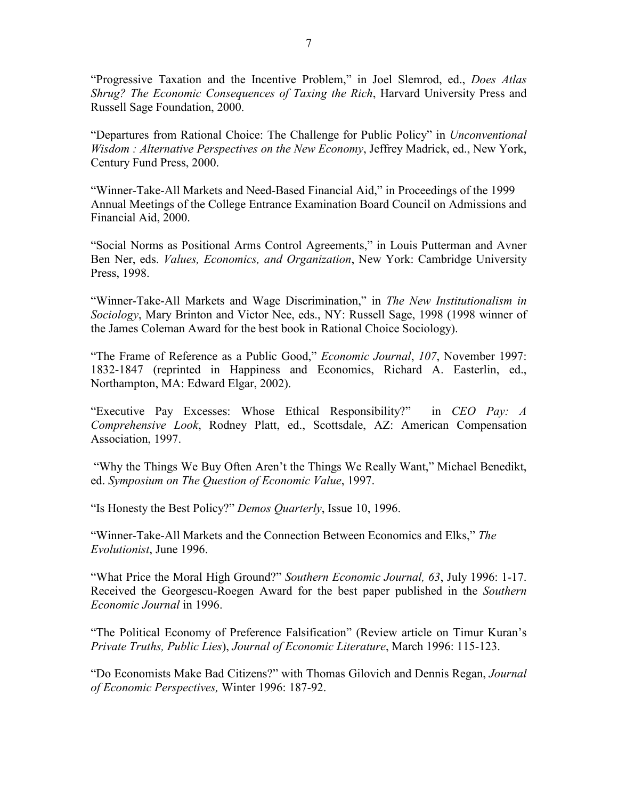"Progressive Taxation and the Incentive Problem," in Joel Slemrod, ed., *Does Atlas Shrug? The Economic Consequences of Taxing the Rich*, Harvard University Press and Russell Sage Foundation, 2000.

"Departures from Rational Choice: The Challenge for Public Policy" in *Unconventional Wisdom : Alternative Perspectives on the New Economy*, Jeffrey Madrick, ed., New York, Century Fund Press, 2000.

"Winner-Take-All Markets and Need-Based Financial Aid," in Proceedings of the 1999 Annual Meetings of the College Entrance Examination Board Council on Admissions and Financial Aid, 2000.

"Social Norms as Positional Arms Control Agreements," in Louis Putterman and Avner Ben Ner, eds. *Values, Economics, and Organization*, New York: Cambridge University Press, 1998.

"Winner-Take-All Markets and Wage Discrimination," in *The New Institutionalism in Sociology*, Mary Brinton and Victor Nee, eds., NY: Russell Sage, 1998 (1998 winner of the James Coleman Award for the best book in Rational Choice Sociology).

"The Frame of Reference as a Public Good," *Economic Journal*, *107*, November 1997: 1832-1847 (reprinted in Happiness and Economics, Richard A. Easterlin, ed., Northampton, MA: Edward Elgar, 2002).

"Executive Pay Excesses: Whose Ethical Responsibility?" in *CEO Pay: A Comprehensive Look*, Rodney Platt, ed., Scottsdale, AZ: American Compensation Association, 1997.

 "Why the Things We Buy Often Aren't the Things We Really Want," Michael Benedikt, ed. *Symposium on The Question of Economic Value*, 1997.

"Is Honesty the Best Policy?" *Demos Quarterly*, Issue 10, 1996.

"Winner-Take-All Markets and the Connection Between Economics and Elks," *The Evolutionist*, June 1996.

"What Price the Moral High Ground?" *Southern Economic Journal, 63*, July 1996: 1-17. Received the Georgescu-Roegen Award for the best paper published in the *Southern Economic Journal* in 1996.

"The Political Economy of Preference Falsification" (Review article on Timur Kuran's *Private Truths, Public Lies*), *Journal of Economic Literature*, March 1996: 115-123.

"Do Economists Make Bad Citizens?" with Thomas Gilovich and Dennis Regan, *Journal of Economic Perspectives,* Winter 1996: 187-92.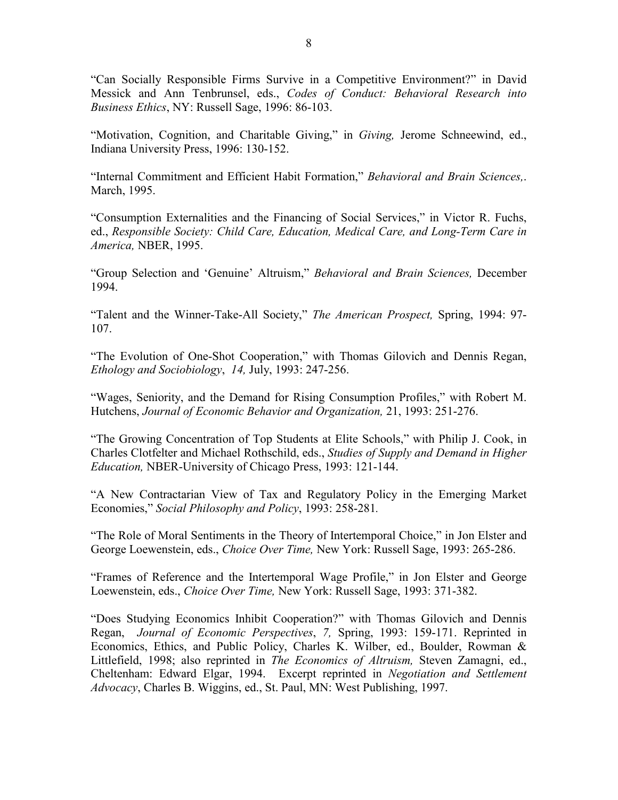"Can Socially Responsible Firms Survive in a Competitive Environment?" in David Messick and Ann Tenbrunsel, eds., *Codes of Conduct: Behavioral Research into Business Ethics*, NY: Russell Sage, 1996: 86-103.

"Motivation, Cognition, and Charitable Giving," in *Giving,* Jerome Schneewind, ed., Indiana University Press, 1996: 130-152.

"Internal Commitment and Efficient Habit Formation," *Behavioral and Brain Sciences,*. March, 1995.

"Consumption Externalities and the Financing of Social Services," in Victor R. Fuchs, ed., *Responsible Society: Child Care, Education, Medical Care, and Long-Term Care in America,* NBER, 1995.

"Group Selection and 'Genuine' Altruism," *Behavioral and Brain Sciences,* December 1994.

"Talent and the Winner-Take-All Society," *The American Prospect,* Spring, 1994: 97- 107.

"The Evolution of One-Shot Cooperation," with Thomas Gilovich and Dennis Regan, *Ethology and Sociobiology*, *14,* July, 1993: 247-256.

"Wages, Seniority, and the Demand for Rising Consumption Profiles," with Robert M. Hutchens, *Journal of Economic Behavior and Organization,* 21, 1993: 251-276.

"The Growing Concentration of Top Students at Elite Schools," with Philip J. Cook, in Charles Clotfelter and Michael Rothschild, eds., *Studies of Supply and Demand in Higher Education,* NBER-University of Chicago Press, 1993: 121-144.

"A New Contractarian View of Tax and Regulatory Policy in the Emerging Market Economies," *Social Philosophy and Policy*, 1993: 258-281*.*

"The Role of Moral Sentiments in the Theory of Intertemporal Choice," in Jon Elster and George Loewenstein, eds., *Choice Over Time,* New York: Russell Sage, 1993: 265-286.

"Frames of Reference and the Intertemporal Wage Profile," in Jon Elster and George Loewenstein, eds., *Choice Over Time,* New York: Russell Sage, 1993: 371-382.

"Does Studying Economics Inhibit Cooperation?" with Thomas Gilovich and Dennis Regan, *Journal of Economic Perspectives*, *7,* Spring, 1993: 159-171. Reprinted in Economics, Ethics, and Public Policy, Charles K. Wilber, ed., Boulder, Rowman & Littlefield, 1998; also reprinted in *The Economics of Altruism,* Steven Zamagni, ed., Cheltenham: Edward Elgar, 1994. Excerpt reprinted in *Negotiation and Settlement Advocacy*, Charles B. Wiggins, ed., St. Paul, MN: West Publishing, 1997.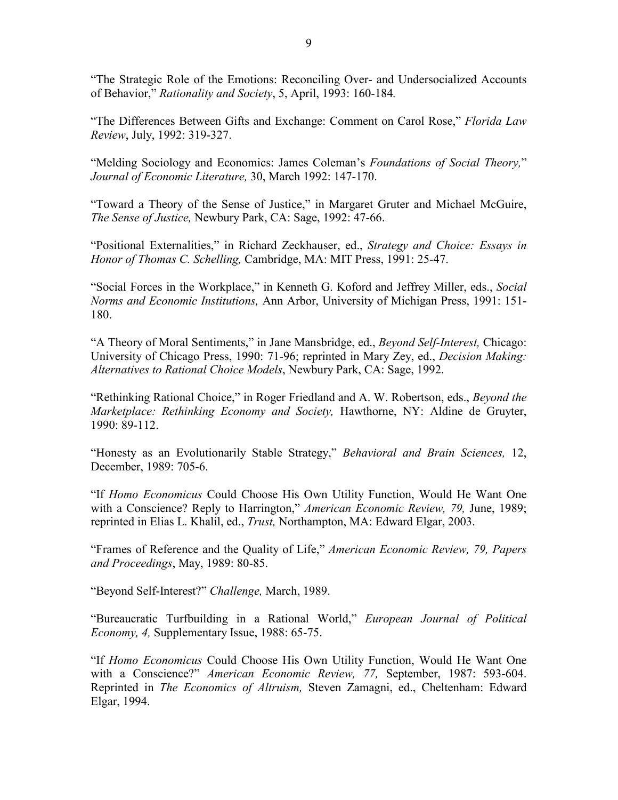"The Strategic Role of the Emotions: Reconciling Over- and Undersocialized Accounts of Behavior," *Rationality and Society*, 5, April, 1993: 160-184*.*

"The Differences Between Gifts and Exchange: Comment on Carol Rose," *Florida Law Review*, July, 1992: 319-327.

"Melding Sociology and Economics: James Coleman's *Foundations of Social Theory,*" *Journal of Economic Literature,* 30, March 1992: 147-170.

"Toward a Theory of the Sense of Justice," in Margaret Gruter and Michael McGuire, *The Sense of Justice,* Newbury Park, CA: Sage, 1992: 47-66.

"Positional Externalities," in Richard Zeckhauser, ed., *Strategy and Choice: Essays in Honor of Thomas C. Schelling,* Cambridge, MA: MIT Press, 1991: 25-47.

"Social Forces in the Workplace," in Kenneth G. Koford and Jeffrey Miller, eds., *Social Norms and Economic Institutions,* Ann Arbor, University of Michigan Press, 1991: 151- 180.

"A Theory of Moral Sentiments," in Jane Mansbridge, ed., *Beyond Self-Interest,* Chicago: University of Chicago Press, 1990: 71-96; reprinted in Mary Zey, ed., *Decision Making: Alternatives to Rational Choice Models*, Newbury Park, CA: Sage, 1992.

"Rethinking Rational Choice," in Roger Friedland and A. W. Robertson, eds., *Beyond the Marketplace: Rethinking Economy and Society,* Hawthorne, NY: Aldine de Gruyter, 1990: 89-112.

"Honesty as an Evolutionarily Stable Strategy," *Behavioral and Brain Sciences,* 12, December, 1989: 705-6.

"If *Homo Economicus* Could Choose His Own Utility Function, Would He Want One with a Conscience? Reply to Harrington," *American Economic Review, 79,* June, 1989; reprinted in Elias L. Khalil, ed., *Trust,* Northampton, MA: Edward Elgar, 2003.

"Frames of Reference and the Quality of Life," *American Economic Review, 79, Papers and Proceedings*, May, 1989: 80-85.

"Beyond Self-Interest?" *Challenge,* March, 1989.

"Bureaucratic Turfbuilding in a Rational World," *European Journal of Political Economy, 4,* Supplementary Issue, 1988: 65-75.

"If *Homo Economicus* Could Choose His Own Utility Function, Would He Want One with a Conscience?" *American Economic Review, 77,* September, 1987: 593-604. Reprinted in *The Economics of Altruism,* Steven Zamagni, ed., Cheltenham: Edward Elgar, 1994.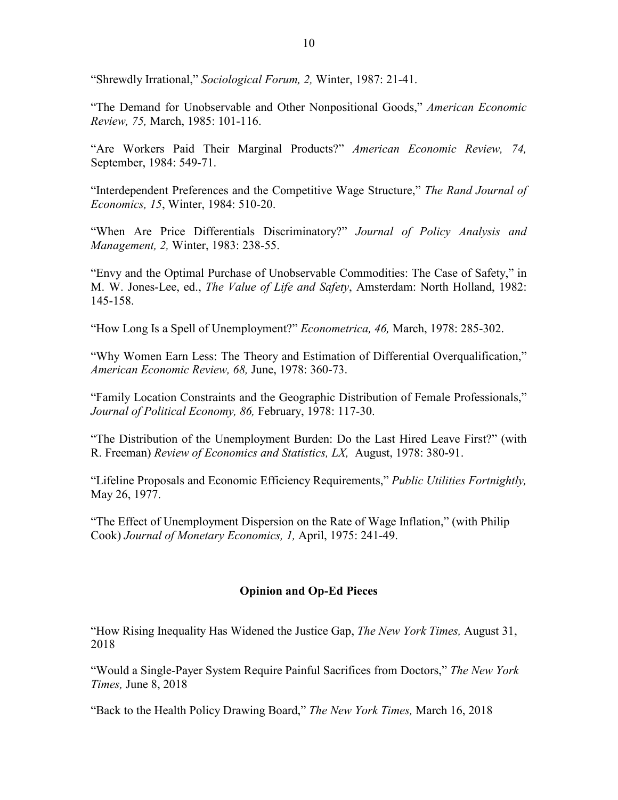"Shrewdly Irrational," *Sociological Forum, 2,* Winter, 1987: 21-41.

"The Demand for Unobservable and Other Nonpositional Goods," *American Economic Review, 75,* March, 1985: 101-116.

"Are Workers Paid Their Marginal Products?" *American Economic Review, 74,* September, 1984: 549-71.

"Interdependent Preferences and the Competitive Wage Structure," *The Rand Journal of Economics, 15*, Winter, 1984: 510-20.

"When Are Price Differentials Discriminatory?" *Journal of Policy Analysis and Management, 2,* Winter, 1983: 238-55.

"Envy and the Optimal Purchase of Unobservable Commodities: The Case of Safety," in M. W. Jones-Lee, ed., *The Value of Life and Safety*, Amsterdam: North Holland, 1982: 145-158.

"How Long Is a Spell of Unemployment?" *Econometrica, 46,* March, 1978: 285-302.

"Why Women Earn Less: The Theory and Estimation of Differential Overqualification," *American Economic Review, 68,* June, 1978: 360-73.

"Family Location Constraints and the Geographic Distribution of Female Professionals," *Journal of Political Economy, 86,* February, 1978: 117-30.

"The Distribution of the Unemployment Burden: Do the Last Hired Leave First?" (with R. Freeman) *Review of Economics and Statistics, LX,* August, 1978: 380-91.

"Lifeline Proposals and Economic Efficiency Requirements," *Public Utilities Fortnightly,* May 26, 1977.

"The Effect of Unemployment Dispersion on the Rate of Wage Inflation," (with Philip Cook) *Journal of Monetary Economics, 1,* April, 1975: 241-49.

#### **Opinion and Op-Ed Pieces**

"How Rising Inequality Has Widened the Justice Gap, *The New York Times,* August 31, 2018

"Would a Single-Payer System Require Painful Sacrifices from Doctors," *The New York Times,* June 8, 2018

"Back to the Health Policy Drawing Board," *The New York Times,* March 16, 2018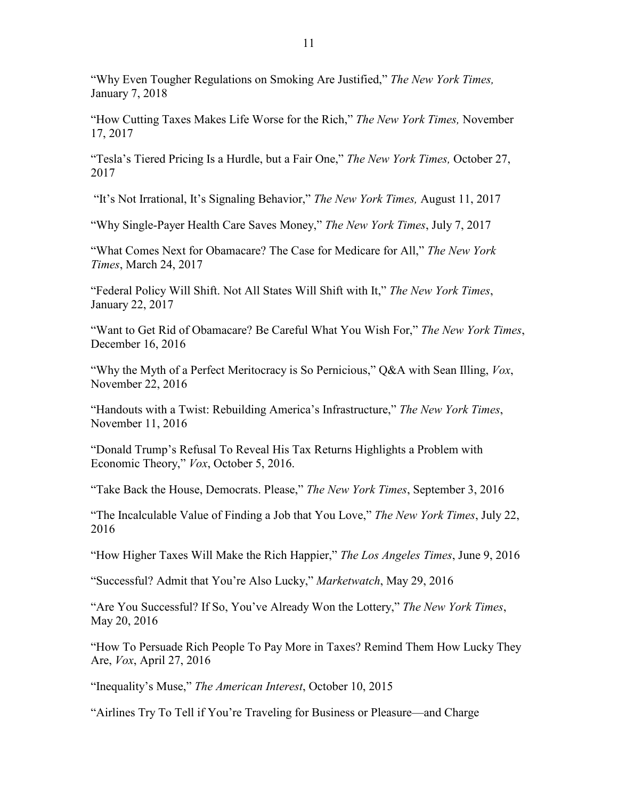"Why Even Tougher Regulations on Smoking Are Justified," *The New York Times,* January 7, 2018

"How Cutting Taxes Makes Life Worse for the Rich," *The New York Times,* November 17, 2017

"Tesla's Tiered Pricing Is a Hurdle, but a Fair One," *The New York Times,* October 27, 2017

"It's Not Irrational, It's Signaling Behavior," *The New York Times,* August 11, 2017

"Why Single-Payer Health Care Saves Money," *The New York Times*, July 7, 2017

"What Comes Next for Obamacare? The Case for Medicare for All," *The New York Times*, March 24, 2017

"Federal Policy Will Shift. Not All States Will Shift with It," *The New York Times*, January 22, 2017

"Want to Get Rid of Obamacare? Be Careful What You Wish For," *The New York Times*, December 16, 2016

"Why the Myth of a Perfect Meritocracy is So Pernicious," Q&A with Sean Illing, *Vox*, November 22, 2016

"Handouts with a Twist: Rebuilding America's Infrastructure," *The New York Times*, November 11, 2016

"Donald Trump's Refusal To Reveal His Tax Returns Highlights a Problem with Economic Theory," *Vox*, October 5, 2016.

"Take Back the House, Democrats. Please," *The New York Times*, September 3, 2016

"The Incalculable Value of Finding a Job that You Love," *The New York Times*, July 22, 2016

"How Higher Taxes Will Make the Rich Happier," *The Los Angeles Times*, June 9, 2016

"Successful? Admit that You're Also Lucky," *Marketwatch*, May 29, 2016

"Are You Successful? If So, You've Already Won the Lottery," *The New York Times*, May 20, 2016

"How To Persuade Rich People To Pay More in Taxes? Remind Them How Lucky They Are, *Vox*, April 27, 2016

"Inequality's Muse," *The American Interest*, October 10, 2015

"Airlines Try To Tell if You're Traveling for Business or Pleasure—and Charge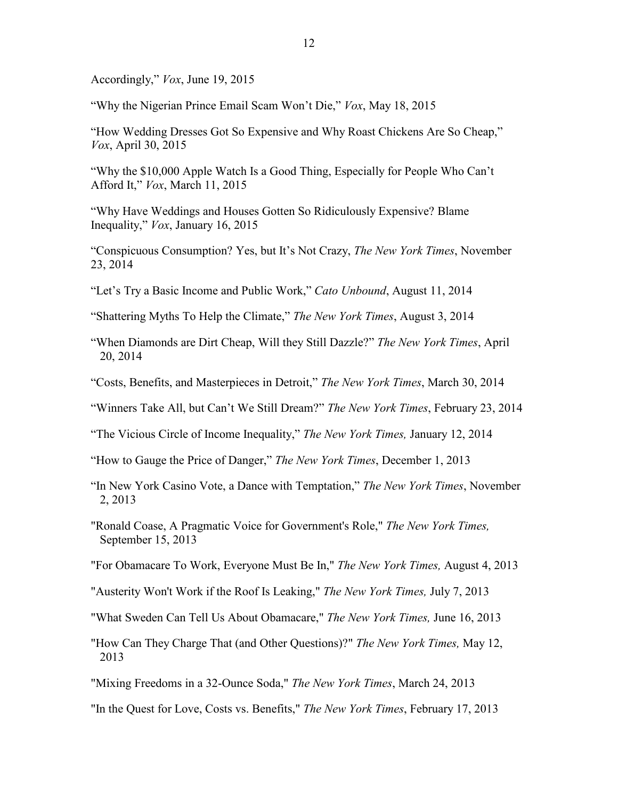Accordingly," *Vox*, June 19, 2015

"Why the Nigerian Prince Email Scam Won't Die," *Vox*, May 18, 2015

"How Wedding Dresses Got So Expensive and Why Roast Chickens Are So Cheap," *Vox*, April 30, 2015

"Why the \$10,000 Apple Watch Is a Good Thing, Especially for People Who Can't Afford It," *Vox*, March 11, 2015

"Why Have Weddings and Houses Gotten So Ridiculously Expensive? Blame Inequality," *Vox*, January 16, 2015

"Conspicuous Consumption? Yes, but It's Not Crazy, *The New York Times*, November 23, 2014

"Let's Try a Basic Income and Public Work," *Cato Unbound*, August 11, 2014

"Shattering Myths To Help the Climate," *The New York Times*, August 3, 2014

"When Diamonds are Dirt Cheap, Will they Still Dazzle?" *The New York Times*, April 20, 2014

"Costs, Benefits, and Masterpieces in Detroit," *The New York Times*, March 30, 2014

"Winners Take All, but Can't We Still Dream?" *The New York Times*, February 23, 2014

"The Vicious Circle of Income Inequality," *The New York Times,* January 12, 2014

"How to Gauge the Price of Danger," *The New York Times*, December 1, 2013

"In New York Casino Vote, a Dance with Temptation," *The New York Times*, November 2, 2013

"Ronald Coase, A Pragmatic Voice for Government's Role," *The New York Times,* September 15, 2013

"For Obamacare To Work, Everyone Must Be In," *The New York Times,* August 4, 2013

"Austerity Won't Work if the Roof Is Leaking," *The New York Times,* July 7, 2013

"What Sweden Can Tell Us About Obamacare," *The New York Times,* June 16, 2013

"How Can They Charge That (and Other Questions)?" *The New York Times,* May 12, 2013

"Mixing Freedoms in a 32-Ounce Soda," *The New York Times*, March 24, 2013

"In the Quest for Love, Costs vs. Benefits," *The New York Times*, February 17, 2013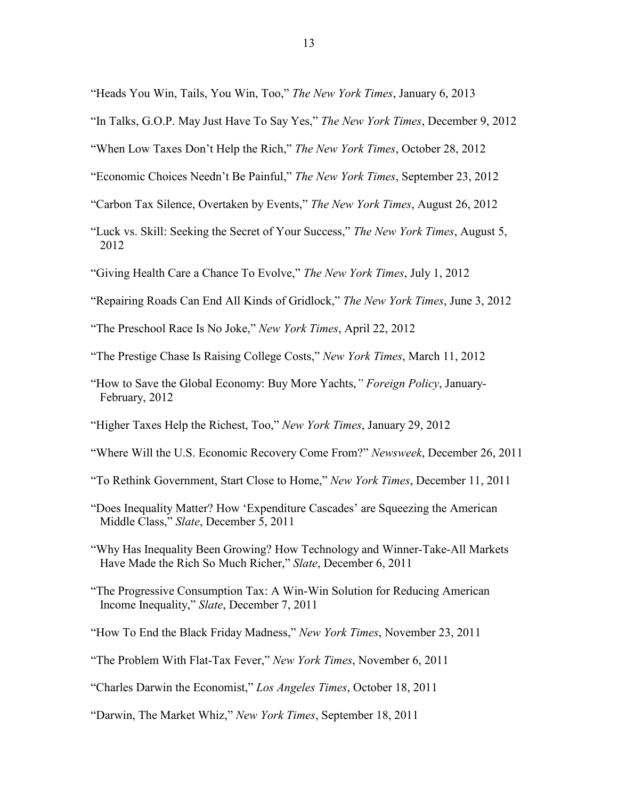"Heads You Win, Tails, You Win, Too," *The New York Times*, January 6, 2013

- "In Talks, G.O.P. May Just Have To Say Yes," *The New York Times*, December 9, 2012
- "When Low Taxes Don't Help the Rich," *The New York Times*, October 28, 2012
- "Economic Choices Needn't Be Painful," *The New York Times*, September 23, 2012
- "Carbon Tax Silence, Overtaken by Events," *The New York Times*, August 26, 2012
- "Luck vs. Skill: Seeking the Secret of Your Success," *The New York Times*, August 5, 2012
- "Giving Health Care a Chance To Evolve," *The New York Times*, July 1, 2012
- "Repairing Roads Can End All Kinds of Gridlock," *The New York Times*, June 3, 2012
- "The Preschool Race Is No Joke," *New York Times*, April 22, 2012
- "The Prestige Chase Is Raising College Costs," *New York Times*, March 11, 2012
- "How to Save the Global Economy: Buy More Yachts,*" Foreign Policy*, January-February, 2012
- "Higher Taxes Help the Richest, Too," *New York Times*, January 29, 2012
- "Where Will the U.S. Economic Recovery Come From?" *Newsweek*, December 26, 2011
- "To Rethink Government, Start Close to Home," *New York Times*, December 11, 2011
- "Does Inequality Matter? How 'Expenditure Cascades' are Squeezing the American Middle Class," *Slate*, December 5, 2011
- "Why Has Inequality Been Growing? How Technology and Winner-Take-All Markets Have Made the Rich So Much Richer," *Slate*, December 6, 2011
- "The Progressive Consumption Tax: A Win-Win Solution for Reducing American Income Inequality," *Slate*, December 7, 2011
- "How To End the Black Friday Madness," *New York Times*, November 23, 2011
- "The Problem With Flat-Tax Fever," *New York Times*, November 6, 2011
- "Charles Darwin the Economist," *Los Angeles Times*, October 18, 2011
- "Darwin, The Market Whiz," *New York Times*, September 18, 2011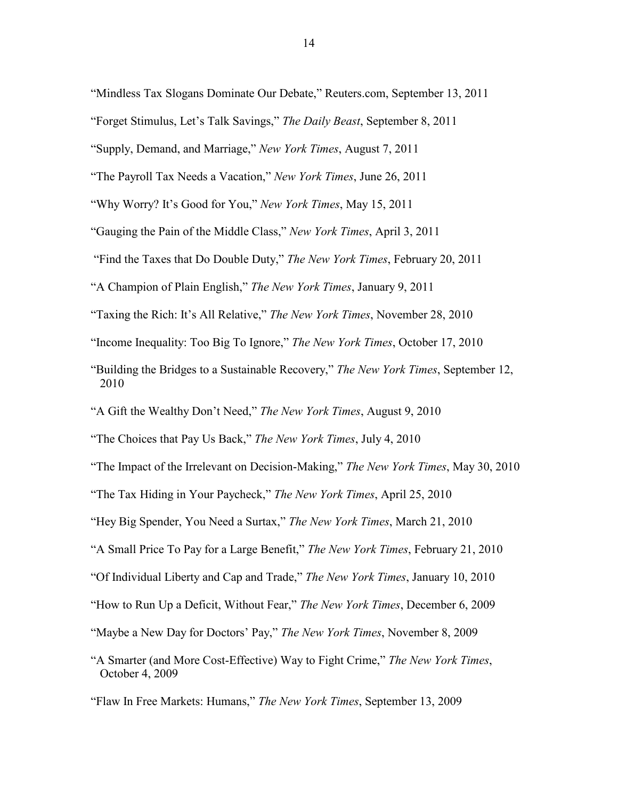"Mindless Tax Slogans Dominate Our Debate," Reuters.com, September 13, 2011

- "Forget Stimulus, Let's Talk Savings," *The Daily Beast*, September 8, 2011
- "Supply, Demand, and Marriage," *New York Times*, August 7, 2011
- "The Payroll Tax Needs a Vacation," *New York Times*, June 26, 2011
- "Why Worry? It's Good for You," *New York Times*, May 15, 2011
- "Gauging the Pain of the Middle Class," *New York Times*, April 3, 2011
- "Find the Taxes that Do Double Duty," *The New York Times*, February 20, 2011
- "A Champion of Plain English," *The New York Times*, January 9, 2011
- "Taxing the Rich: It's All Relative," *The New York Times*, November 28, 2010
- "Income Inequality: Too Big To Ignore," *The New York Times*, October 17, 2010
- "Building the Bridges to a Sustainable Recovery," *The New York Times*, September 12, 2010
- "A Gift the Wealthy Don't Need," *The New York Times*, August 9, 2010
- "The Choices that Pay Us Back," *The New York Times*, July 4, 2010
- "The Impact of the Irrelevant on Decision-Making," *The New York Times*, May 30, 2010
- "The Tax Hiding in Your Paycheck," *The New York Times*, April 25, 2010
- "Hey Big Spender, You Need a Surtax," *The New York Times*, March 21, 2010
- "A Small Price To Pay for a Large Benefit," *The New York Times*, February 21, 2010
- "Of Individual Liberty and Cap and Trade," *The New York Times*, January 10, 2010
- "How to Run Up a Deficit, Without Fear," *The New York Times*, December 6, 2009
- "Maybe a New Day for Doctors' Pay," *The New York Times*, November 8, 2009
- "A Smarter (and More Cost-Effective) Way to Fight Crime," *The New York Times*, October 4, 2009
- "Flaw In Free Markets: Humans," *The New York Times*, September 13, 2009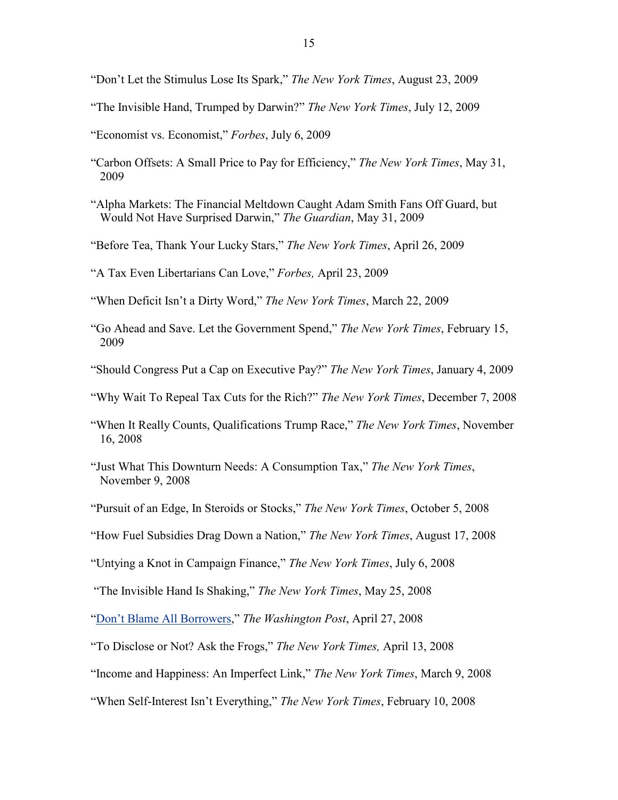"Don't Let the Stimulus Lose Its Spark," *The New York Times*, August 23, 2009

"The Invisible Hand, Trumped by Darwin?" *The New York Times*, July 12, 2009

"Economist vs. Economist," *Forbes*, July 6, 2009

- "Carbon Offsets: A Small Price to Pay for Efficiency," *The New York Times*, May 31, 2009
- "Alpha Markets: The Financial Meltdown Caught Adam Smith Fans Off Guard, but Would Not Have Surprised Darwin," *The Guardian*, May 31, 2009
- "Before Tea, Thank Your Lucky Stars," *The New York Times*, April 26, 2009

"A Tax Even Libertarians Can Love," *Forbes,* April 23, 2009

"When Deficit Isn't a Dirty Word," *The New York Times*, March 22, 2009

- "Go Ahead and Save. Let the Government Spend," *The New York Times*, February 15, 2009
- "Should Congress Put a Cap on Executive Pay?" *The New York Times*, January 4, 2009

"Why Wait To Repeal Tax Cuts for the Rich?" *The New York Times*, December 7, 2008

- "When It Really Counts, Qualifications Trump Race," *The New York Times*, November 16, 2008
- "Just What This Downturn Needs: A Consumption Tax," *The New York Times*, November 9, 2008
- "Pursuit of an Edge, In Steroids or Stocks," *The New York Times*, October 5, 2008

"How Fuel Subsidies Drag Down a Nation," *The New York Times*, August 17, 2008

"Untying a Knot in Campaign Finance," *The New York Times*, July 6, 2008

"The Invisible Hand Is Shaking," *The New York Times*, May 25, 2008

"Don't Blame All Borrowers," *The Washington Post*, April 27, 2008

"To Disclose or Not? Ask the Frogs," *The New York Times,* April 13, 2008

"Income and Happiness: An Imperfect Link," *The New York Times*, March 9, 2008

"When Self-Interest Isn't Everything," *The New York Times*, February 10, 2008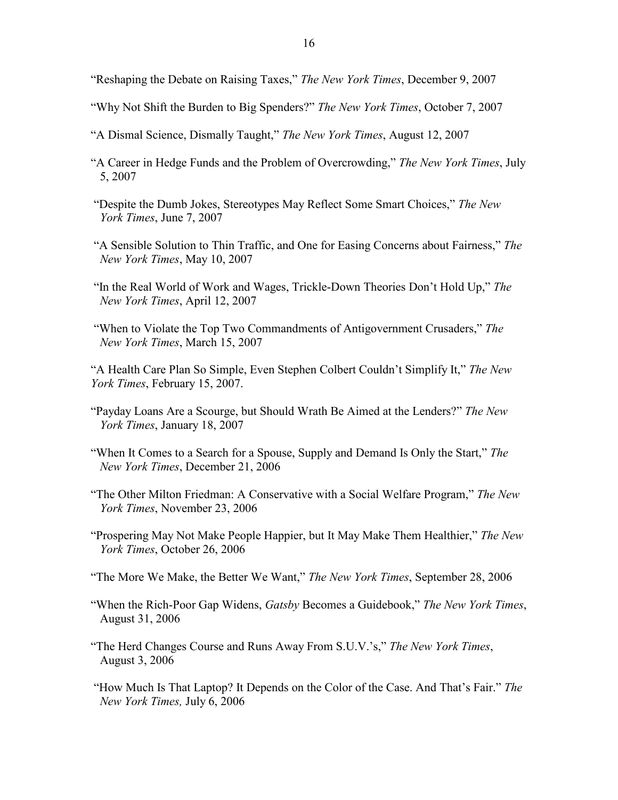"Reshaping the Debate on Raising Taxes," *The New York Times*, December 9, 2007

- "Why Not Shift the Burden to Big Spenders?" *The New York Times*, October 7, 2007
- "A Dismal Science, Dismally Taught," *The New York Times*, August 12, 2007
- "A Career in Hedge Funds and the Problem of Overcrowding," *The New York Times*, July 5, 2007
- "Despite the Dumb Jokes, Stereotypes May Reflect Some Smart Choices," *The New York Times*, June 7, 2007
- "A Sensible Solution to Thin Traffic, and One for Easing Concerns about Fairness," *The New York Times*, May 10, 2007
- "In the Real World of Work and Wages, Trickle-Down Theories Don't Hold Up," *The New York Times*, April 12, 2007
- "When to Violate the Top Two Commandments of Antigovernment Crusaders," *The New York Times*, March 15, 2007
- "A Health Care Plan So Simple, Even Stephen Colbert Couldn't Simplify It," *The New York Times*, February 15, 2007.
- "Payday Loans Are a Scourge, but Should Wrath Be Aimed at the Lenders?" *The New York Times*, January 18, 2007
- "When It Comes to a Search for a Spouse, Supply and Demand Is Only the Start," *The New York Times*, December 21, 2006
- "The Other Milton Friedman: A Conservative with a Social Welfare Program," *The New York Times*, November 23, 2006
- "Prospering May Not Make People Happier, but It May Make Them Healthier," *The New York Times*, October 26, 2006
- "The More We Make, the Better We Want," *The New York Times*, September 28, 2006
- "When the Rich-Poor Gap Widens, *Gatsby* Becomes a Guidebook," *The New York Times*, August 31, 2006
- "The Herd Changes Course and Runs Away From S.U.V.'s," *The New York Times*, August 3, 2006
- "How Much Is That Laptop? It Depends on the Color of the Case. And That's Fair." *The New York Times,* July 6, 2006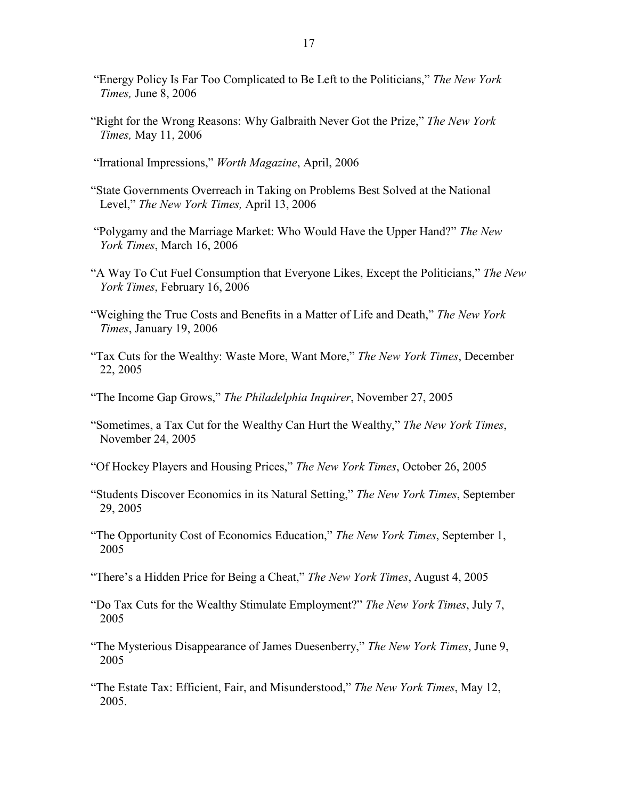- "Energy Policy Is Far Too Complicated to Be Left to the Politicians," *The New York Times,* June 8, 2006
- "Right for the Wrong Reasons: Why Galbraith Never Got the Prize," *The New York Times,* May 11, 2006
- "Irrational Impressions," *Worth Magazine*, April, 2006
- "State Governments Overreach in Taking on Problems Best Solved at the National Level," *The New York Times,* April 13, 2006
- "Polygamy and the Marriage Market: Who Would Have the Upper Hand?" *The New York Times*, March 16, 2006
- "A Way To Cut Fuel Consumption that Everyone Likes, Except the Politicians," *The New York Times*, February 16, 2006
- "Weighing the True Costs and Benefits in a Matter of Life and Death," *The New York Times*, January 19, 2006
- "Tax Cuts for the Wealthy: Waste More, Want More," *The New York Times*, December 22, 2005
- "The Income Gap Grows," *The Philadelphia Inquirer*, November 27, 2005
- "Sometimes, a Tax Cut for the Wealthy Can Hurt the Wealthy," *The New York Times*, November 24, 2005
- "Of Hockey Players and Housing Prices," *The New York Times*, October 26, 2005
- "Students Discover Economics in its Natural Setting," *The New York Times*, September 29, 2005
- "The Opportunity Cost of Economics Education," *The New York Times*, September 1, 2005
- "There's a Hidden Price for Being a Cheat," *The New York Times*, August 4, 2005
- "Do Tax Cuts for the Wealthy Stimulate Employment?" *The New York Times*, July 7, 2005
- "The Mysterious Disappearance of James Duesenberry," *The New York Times*, June 9, 2005
- "The Estate Tax: Efficient, Fair, and Misunderstood," *The New York Times*, May 12, 2005.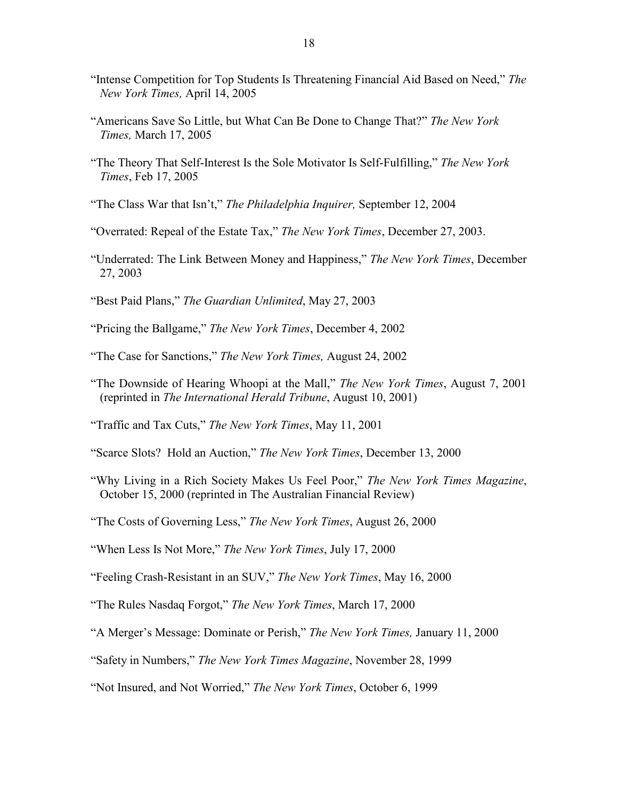- "Intense Competition for Top Students Is Threatening Financial Aid Based on Need," *The New York Times,* April 14, 2005
- "Americans Save So Little, but What Can Be Done to Change That?" *The New York Times,* March 17, 2005
- "The Theory That Self-Interest Is the Sole Motivator Is Self-Fulfilling," *The New York Times*, Feb 17, 2005
- "The Class War that Isn't," *The Philadelphia Inquirer,* September 12, 2004
- "Overrated: Repeal of the Estate Tax," *The New York Times*, December 27, 2003.
- "Underrated: The Link Between Money and Happiness," *The New York Times*, December 27, 2003
- "Best Paid Plans," *The Guardian Unlimited*, May 27, 2003
- "Pricing the Ballgame," *The New York Times*, December 4, 2002
- "The Case for Sanctions," *The New York Times,* August 24, 2002
- "The Downside of Hearing Whoopi at the Mall," *The New York Times*, August 7, 2001 (reprinted in *The International Herald Tribune*, August 10, 2001)
- "Traffic and Tax Cuts," *The New York Times*, May 11, 2001
- "Scarce Slots? Hold an Auction," *The New York Times*, December 13, 2000
- "Why Living in a Rich Society Makes Us Feel Poor," *The New York Times Magazine*, October 15, 2000 (reprinted in The Australian Financial Review)
- "The Costs of Governing Less," *The New York Times*, August 26, 2000
- "When Less Is Not More," *The New York Times*, July 17, 2000
- "Feeling Crash-Resistant in an SUV," *The New York Times*, May 16, 2000
- "The Rules Nasdaq Forgot," *The New York Times*, March 17, 2000
- "A Merger's Message: Dominate or Perish," *The New York Times,* January 11, 2000
- "Safety in Numbers," *The New York Times Magazine*, November 28, 1999

<sup>&</sup>quot;Not Insured, and Not Worried," *The New York Times*, October 6, 1999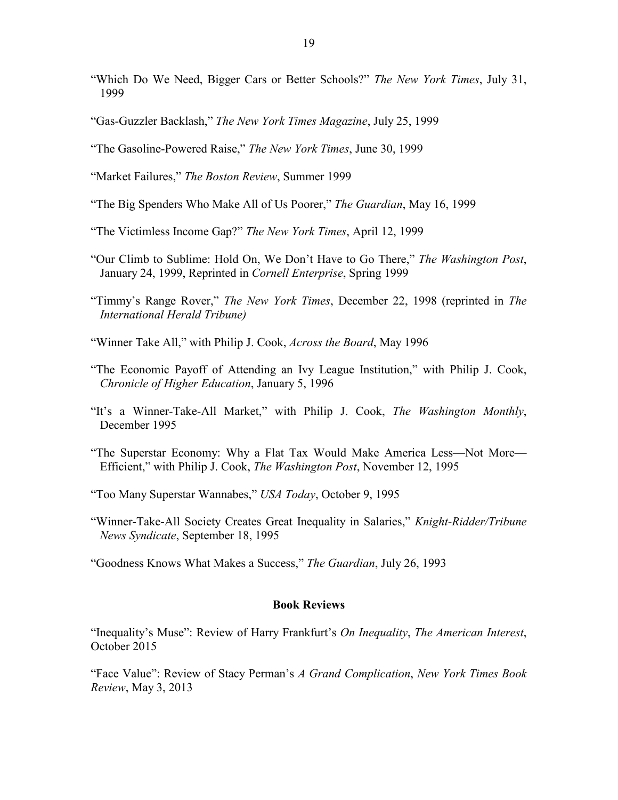- "Which Do We Need, Bigger Cars or Better Schools?" *The New York Times*, July 31, 1999
- "Gas-Guzzler Backlash," *The New York Times Magazine*, July 25, 1999
- "The Gasoline-Powered Raise," *The New York Times*, June 30, 1999
- "Market Failures," *The Boston Review*, Summer 1999
- "The Big Spenders Who Make All of Us Poorer," *The Guardian*, May 16, 1999
- "The Victimless Income Gap?" *The New York Times*, April 12, 1999
- "Our Climb to Sublime: Hold On, We Don't Have to Go There," *The Washington Post*, January 24, 1999, Reprinted in *Cornell Enterprise*, Spring 1999
- "Timmy's Range Rover," *The New York Times*, December 22, 1998 (reprinted in *The International Herald Tribune)*
- "Winner Take All," with Philip J. Cook, *Across the Board*, May 1996
- "The Economic Payoff of Attending an Ivy League Institution," with Philip J. Cook, *Chronicle of Higher Education*, January 5, 1996
- "It's a Winner-Take-All Market," with Philip J. Cook, *The Washington Monthly*, December 1995
- "The Superstar Economy: Why a Flat Tax Would Make America Less—Not More— Efficient," with Philip J. Cook, *The Washington Post*, November 12, 1995
- "Too Many Superstar Wannabes," *USA Today*, October 9, 1995
- "Winner-Take-All Society Creates Great Inequality in Salaries," *Knight-Ridder/Tribune News Syndicate*, September 18, 1995
- "Goodness Knows What Makes a Success," *The Guardian*, July 26, 1993

#### **Book Reviews**

"Inequality's Muse": Review of Harry Frankfurt's *On Inequality*, *The American Interest*, October 2015

"Face Value": Review of Stacy Perman's *A Grand Complication*, *New York Times Book Review*, May 3, 2013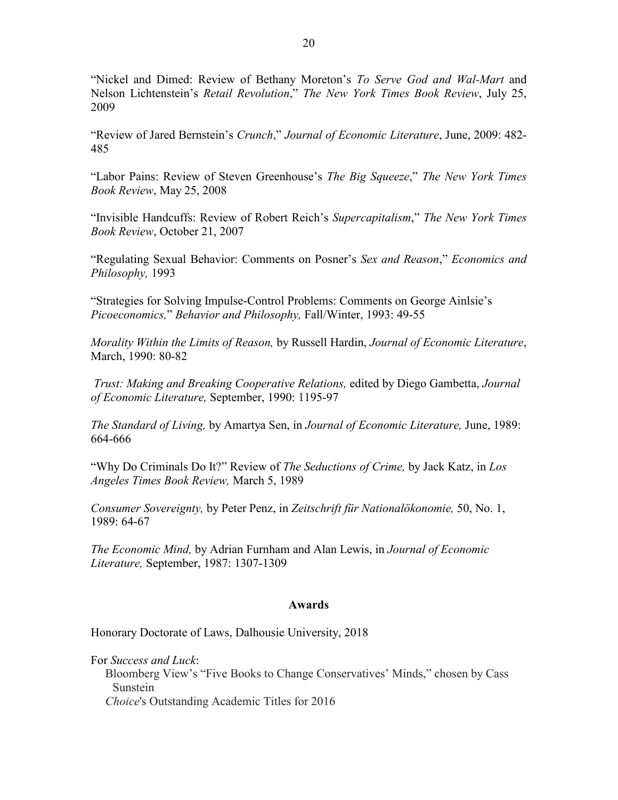"Nickel and Dimed: Review of Bethany Moreton's *To Serve God and Wal-Mart* and Nelson Lichtenstein's *Retail Revolution*," *The New York Times Book Review*, July 25, 2009

"Review of Jared Bernstein's *Crunch*," *Journal of Economic Literature*, June, 2009: 482- 485

"Labor Pains: Review of Steven Greenhouse's *The Big Squeeze*," *The New York Times Book Review*, May 25, 2008

"Invisible Handcuffs: Review of Robert Reich's *Supercapitalism*," *The New York Times Book Review*, October 21, 2007

"Regulating Sexual Behavior: Comments on Posner's *Sex and Reason*," *Economics and Philosophy,* 1993

"Strategies for Solving Impulse-Control Problems: Comments on George Ainlsie's *Picoeconomics,*" *Behavior and Philosophy,* Fall/Winter, 1993: 49-55

*Morality Within the Limits of Reason,* by Russell Hardin, *Journal of Economic Literature*, March, 1990: 80-82

*Trust: Making and Breaking Cooperative Relations,* edited by Diego Gambetta, *Journal of Economic Literature,* September, 1990: 1195-97

*The Standard of Living,* by Amartya Sen, in *Journal of Economic Literature,* June, 1989: 664-666

"Why Do Criminals Do It?" Review of *The Seductions of Crime,* by Jack Katz, in *Los Angeles Times Book Review,* March 5, 1989

*Consumer Sovereignty,* by Peter Penz, in *Zeitschrift für Nationalökonomie,* 50, No. 1, 1989: 64-67

*The Economic Mind,* by Adrian Furnham and Alan Lewis, in *Journal of Economic Literature,* September, 1987: 1307-1309

### **Awards**

Honorary Doctorate of Laws, Dalhousie University, 2018

For *Success and Luck*:

Bloomberg View's "Five Books to Change Conservatives' Minds," chosen by Cass Sunstein

*Choice*'s Outstanding Academic Titles for 2016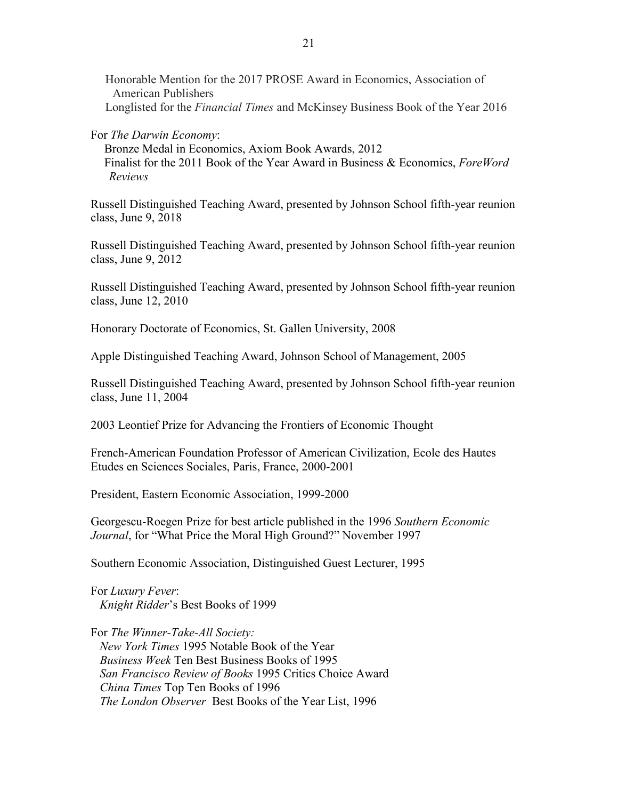Honorable Mention for the 2017 PROSE Award in Economics, Association of American Publishers Longlisted for the *Financial Times* and McKinsey Business Book of the Year 2016

For *The Darwin Economy*:

Bronze Medal in Economics, Axiom Book Awards, 2012 Finalist for the 2011 Book of the Year Award in Business & Economics, *ForeWord Reviews*

Russell Distinguished Teaching Award, presented by Johnson School fifth-year reunion class, June 9, 2018

Russell Distinguished Teaching Award, presented by Johnson School fifth-year reunion class, June 9, 2012

Russell Distinguished Teaching Award, presented by Johnson School fifth-year reunion class, June 12, 2010

Honorary Doctorate of Economics, St. Gallen University, 2008

Apple Distinguished Teaching Award, Johnson School of Management, 2005

Russell Distinguished Teaching Award, presented by Johnson School fifth-year reunion class, June 11, 2004

2003 Leontief Prize for Advancing the Frontiers of Economic Thought

French-American Foundation Professor of American Civilization, Ecole des Hautes Etudes en Sciences Sociales, Paris, France, 2000-2001

President, Eastern Economic Association, 1999-2000

Georgescu-Roegen Prize for best article published in the 1996 *Southern Economic Journal*, for "What Price the Moral High Ground?" November 1997

Southern Economic Association, Distinguished Guest Lecturer, 1995

For *Luxury Fever*: *Knight Ridder*'s Best Books of 1999

For *The Winner-Take-All Society: New York Times* 1995 Notable Book of the Year *Business Week* Ten Best Business Books of 1995 *San Francisco Review of Books* 1995 Critics Choice Award *China Times* Top Ten Books of 1996 *The London Observer* Best Books of the Year List, 1996